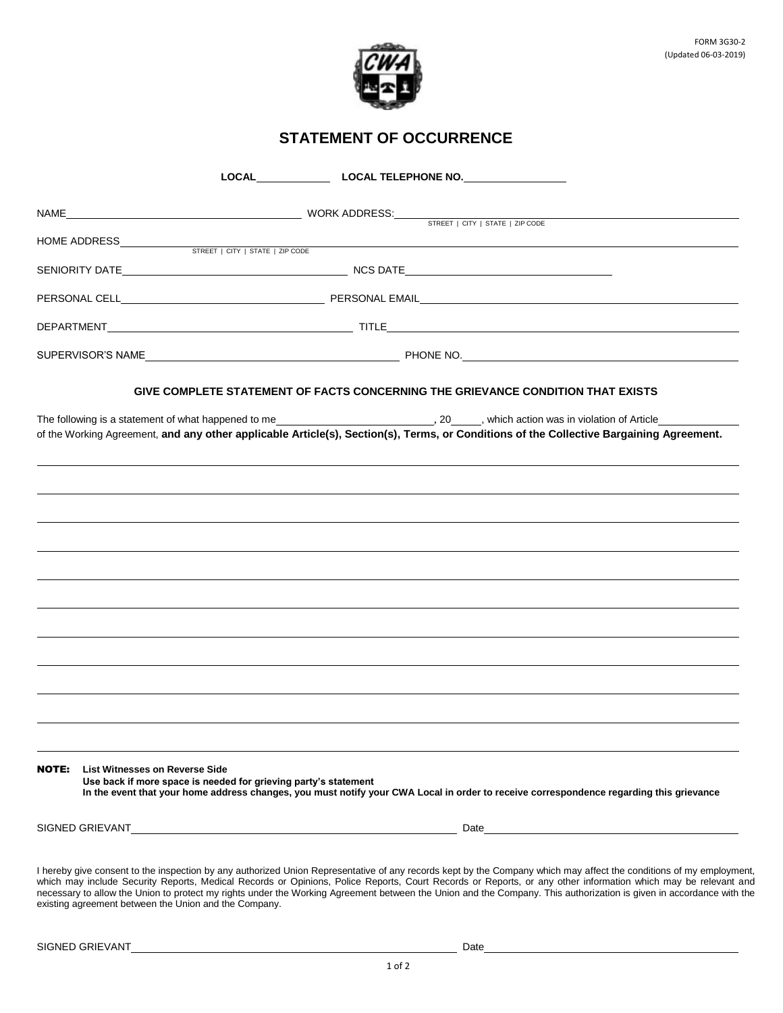

## **STATEMENT OF OCCURRENCE**

|       |                                                                                                                                         |                                                                 |  | LOCAL LOCAL TELEPHONE NO.                                                                                                                                                                                                                                                                                                                                                                                                                                                                                   |  |  |  |  |
|-------|-----------------------------------------------------------------------------------------------------------------------------------------|-----------------------------------------------------------------|--|-------------------------------------------------------------------------------------------------------------------------------------------------------------------------------------------------------------------------------------------------------------------------------------------------------------------------------------------------------------------------------------------------------------------------------------------------------------------------------------------------------------|--|--|--|--|
|       |                                                                                                                                         |                                                                 |  |                                                                                                                                                                                                                                                                                                                                                                                                                                                                                                             |  |  |  |  |
|       |                                                                                                                                         | HOME ADDRESS STREET   CITY   STATE   ZIP CODE                   |  |                                                                                                                                                                                                                                                                                                                                                                                                                                                                                                             |  |  |  |  |
|       |                                                                                                                                         |                                                                 |  |                                                                                                                                                                                                                                                                                                                                                                                                                                                                                                             |  |  |  |  |
|       |                                                                                                                                         |                                                                 |  |                                                                                                                                                                                                                                                                                                                                                                                                                                                                                                             |  |  |  |  |
|       |                                                                                                                                         |                                                                 |  |                                                                                                                                                                                                                                                                                                                                                                                                                                                                                                             |  |  |  |  |
|       |                                                                                                                                         |                                                                 |  |                                                                                                                                                                                                                                                                                                                                                                                                                                                                                                             |  |  |  |  |
|       |                                                                                                                                         |                                                                 |  |                                                                                                                                                                                                                                                                                                                                                                                                                                                                                                             |  |  |  |  |
|       |                                                                                                                                         |                                                                 |  | GIVE COMPLETE STATEMENT OF FACTS CONCERNING THE GRIEVANCE CONDITION THAT EXISTS                                                                                                                                                                                                                                                                                                                                                                                                                             |  |  |  |  |
|       | of the Working Agreement, and any other applicable Article(s), Section(s), Terms, or Conditions of the Collective Bargaining Agreement. |                                                                 |  |                                                                                                                                                                                                                                                                                                                                                                                                                                                                                                             |  |  |  |  |
|       |                                                                                                                                         |                                                                 |  |                                                                                                                                                                                                                                                                                                                                                                                                                                                                                                             |  |  |  |  |
|       |                                                                                                                                         |                                                                 |  |                                                                                                                                                                                                                                                                                                                                                                                                                                                                                                             |  |  |  |  |
|       |                                                                                                                                         |                                                                 |  |                                                                                                                                                                                                                                                                                                                                                                                                                                                                                                             |  |  |  |  |
|       |                                                                                                                                         |                                                                 |  |                                                                                                                                                                                                                                                                                                                                                                                                                                                                                                             |  |  |  |  |
|       |                                                                                                                                         |                                                                 |  |                                                                                                                                                                                                                                                                                                                                                                                                                                                                                                             |  |  |  |  |
|       |                                                                                                                                         |                                                                 |  |                                                                                                                                                                                                                                                                                                                                                                                                                                                                                                             |  |  |  |  |
|       |                                                                                                                                         |                                                                 |  |                                                                                                                                                                                                                                                                                                                                                                                                                                                                                                             |  |  |  |  |
|       |                                                                                                                                         |                                                                 |  |                                                                                                                                                                                                                                                                                                                                                                                                                                                                                                             |  |  |  |  |
|       |                                                                                                                                         |                                                                 |  |                                                                                                                                                                                                                                                                                                                                                                                                                                                                                                             |  |  |  |  |
|       |                                                                                                                                         |                                                                 |  |                                                                                                                                                                                                                                                                                                                                                                                                                                                                                                             |  |  |  |  |
|       |                                                                                                                                         |                                                                 |  |                                                                                                                                                                                                                                                                                                                                                                                                                                                                                                             |  |  |  |  |
|       |                                                                                                                                         |                                                                 |  |                                                                                                                                                                                                                                                                                                                                                                                                                                                                                                             |  |  |  |  |
| NOTE: | List Witnesses on Reverse Side                                                                                                          | Use back if more space is needed for grieving party's statement |  | In the event that your home address changes, you must notify your CWA Local in order to receive correspondence regarding this grievance                                                                                                                                                                                                                                                                                                                                                                     |  |  |  |  |
|       |                                                                                                                                         |                                                                 |  | Date and the contract of the contract of the contract of the contract of the contract of the contract of the contract of the contract of the contract of the contract of the contract of the contract of the contract of the c                                                                                                                                                                                                                                                                              |  |  |  |  |
|       | existing agreement between the Union and the Company.                                                                                   |                                                                 |  | I hereby give consent to the inspection by any authorized Union Representative of any records kept by the Company which may affect the conditions of my employment,<br>which may include Security Reports, Medical Records or Opinions, Police Reports, Court Records or Reports, or any other information which may be relevant and<br>necessary to allow the Union to protect my rights under the Working Agreement between the Union and the Company. This authorization is given in accordance with the |  |  |  |  |